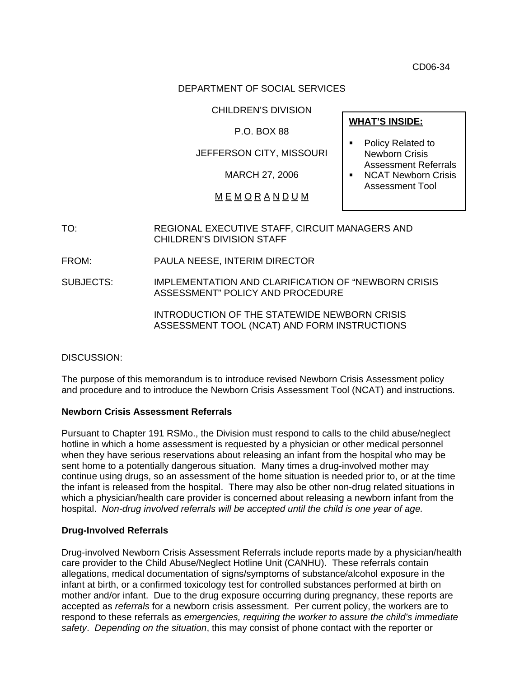CD06-34

### DEPARTMENT OF SOCIAL SERVICES

CHILDREN'S DIVISION

P.O. BOX 88

JEFFERSON CITY, MISSOURI

MARCH 27, 2006

M E M O R A N D U M

**WHAT'S INSIDE:**

- Policy Related to Newborn Crisis Assessment Referrals
- **NCAT Newborn Crisis** Assessment Tool

TO: REGIONAL EXECUTIVE STAFF, CIRCUIT MANAGERS AND CHILDREN'S DIVISION STAFF

FROM: PAULA NEESE, INTERIM DIRECTOR

SUBJECTS: IMPLEMENTATION AND CLARIFICATION OF "NEWBORN CRISIS ASSESSMENT" POLICY AND PROCEDURE

> INTRODUCTION OF THE STATEWIDE NEWBORN CRISIS ASSESSMENT TOOL (NCAT) AND FORM INSTRUCTIONS

DISCUSSION:

The purpose of this memorandum is to introduce revised Newborn Crisis Assessment policy and procedure and to introduce the Newborn Crisis Assessment Tool (NCAT) and instructions.

### **Newborn Crisis Assessment Referrals**

Pursuant to Chapter 191 RSMo., the Division must respond to calls to the child abuse/neglect hotline in which a home assessment is requested by a physician or other medical personnel when they have serious reservations about releasing an infant from the hospital who may be sent home to a potentially dangerous situation. Many times a drug-involved mother may continue using drugs, so an assessment of the home situation is needed prior to, or at the time the infant is released from the hospital. There may also be other non-drug related situations in which a physician/health care provider is concerned about releasing a newborn infant from the hospital. *Non-drug involved referrals will be accepted until the child is one year of age.* 

### **Drug-Involved Referrals**

Drug-involved Newborn Crisis Assessment Referrals include reports made by a physician/health care provider to the Child Abuse/Neglect Hotline Unit (CANHU). These referrals contain allegations, medical documentation of signs/symptoms of substance/alcohol exposure in the infant at birth, or a confirmed toxicology test for controlled substances performed at birth on mother and/or infant. Due to the drug exposure occurring during pregnancy, these reports are accepted as *referrals* for a newborn crisis assessment. Per current policy, the workers are to respond to these referrals as *emergencies, requiring the worker to assure the child's immediate safety*. *Depending on the situation*, this may consist of phone contact with the reporter or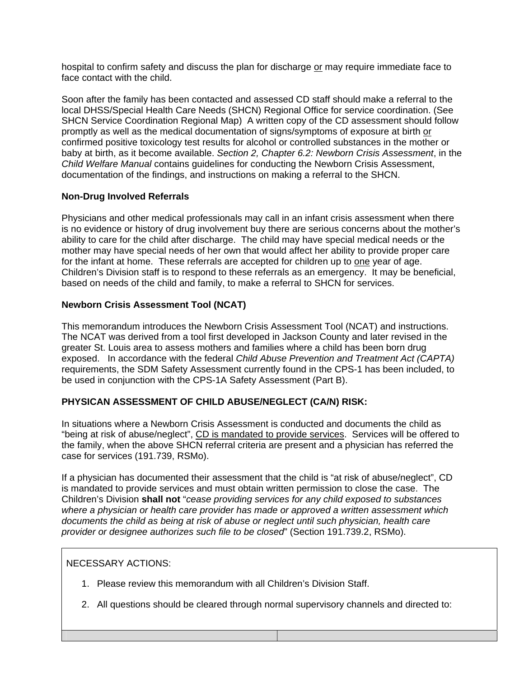hospital to confirm safety and discuss the plan for discharge or may require immediate face to face contact with the child.

Soon after the family has been contacted and assessed CD staff should make a referral to the local DHSS/Special Health Care Needs (SHCN) Regional Office for service coordination. (See SHCN Service Coordination Regional Map) A written copy of the CD assessment should follow promptly as well as the medical documentation of signs/symptoms of exposure at birth or confirmed positive toxicology test results for alcohol or controlled substances in the mother or baby at birth, as it become available. *Section 2, Chapter 6.2: Newborn Crisis Assessment*, in the *Child Welfare Manual* contains guidelines for conducting the Newborn Crisis Assessment, documentation of the findings, and instructions on making a referral to the SHCN.

## **Non-Drug Involved Referrals**

Physicians and other medical professionals may call in an infant crisis assessment when there is no evidence or history of drug involvement buy there are serious concerns about the mother's ability to care for the child after discharge. The child may have special medical needs or the mother may have special needs of her own that would affect her ability to provide proper care for the infant at home. These referrals are accepted for children up to one year of age. Children's Division staff is to respond to these referrals as an emergency. It may be beneficial, based on needs of the child and family, to make a referral to SHCN for services.

### **Newborn Crisis Assessment Tool (NCAT)**

This memorandum introduces the Newborn Crisis Assessment Tool (NCAT) and instructions. The NCAT was derived from a tool first developed in Jackson County and later revised in the greater St. Louis area to assess mothers and families where a child has been born drug exposed. In accordance with the federal *Child Abuse Prevention and Treatment Act (CAPTA)* requirements, the SDM Safety Assessment currently found in the CPS-1 has been included, to be used in conjunction with the CPS-1A Safety Assessment (Part B).

# **PHYSICAN ASSESSMENT OF CHILD ABUSE/NEGLECT (CA/N) RISK:**

In situations where a Newborn Crisis Assessment is conducted and documents the child as "being at risk of abuse/neglect", CD is mandated to provide services. Services will be offered to the family, when the above SHCN referral criteria are present and a physician has referred the case for services (191.739, RSMo).

If a physician has documented their assessment that the child is "at risk of abuse/neglect", CD is mandated to provide services and must obtain written permission to close the case. The Children's Division **shall not** "*cease providing services for any child exposed to substances where a physician or health care provider has made or approved a written assessment which documents the child as being at risk of abuse or neglect until such physician, health care provider or designee authorizes such file to be closed*" (Section 191.739.2, RSMo).

### NECESSARY ACTIONS:

- 1. Please review this memorandum with all Children's Division Staff.
- 2. All questions should be cleared through normal supervisory channels and directed to: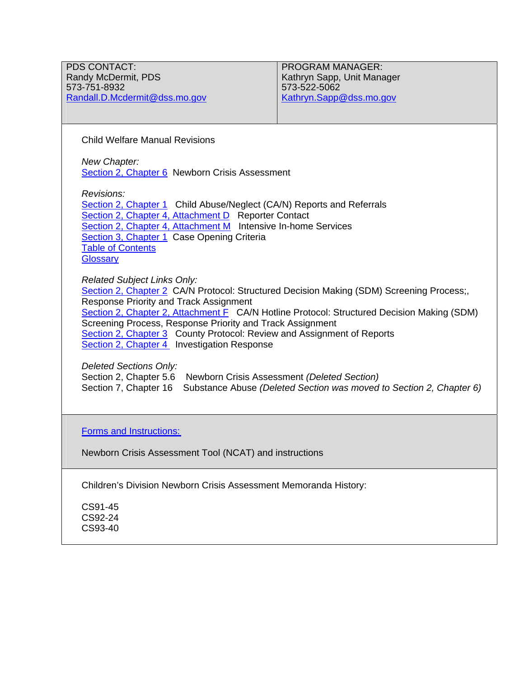PDS CONTACT: Randy McDermit, PDS 573-751-8932 [Randall.D.Mcdermit@dss.mo.gov](mailto:Randall.D.Mcdermit@dss.mo.gov) PROGRAM MANAGER: Kathryn Sapp, Unit Manager 573-522-5062 [Kathryn.Sapp@dss.mo.gov](mailto:Kathryn.Sapp@dss.mo.gov)

Child Welfare Manual Revisions

*New Chapter:*  [Section 2, Chapter 6](http://www.dss.mo.gov/cd/info/cwmanual/section2/ch6/sec2ch6index.htm) Newborn Crisis Assessment

*Revisions:* 

[Section 2, Chapter 1](http://www.dss.mo.gov/cd/info/cwmanual/section2/ch1/sec2ch1index.htm) Child Abuse/Neglect (CA/N) Reports and Referrals [Section 2, Chapter 4, Attachment D](http://www.dss.mo.gov/cd/info/cwmanual/section2/ch4/sec2ch4attachd.htm) Reporter Contact [Section 2, Chapter 4, Attachment M](http://www.dss.mo.gov/cd/info/cwmanual/section2/ch4/sec2ch4attachm.htm) Intensive In-home Services [Section 3, Chapter 1](http://www.dss.mo.gov/cd/info/cwmanual/section3/ch1/sec3ch1index.htm) Case Opening Criteria [Table of Contents](http://www.dss.mo.gov/cd/info/cwmanual/index.htm) **[Glossary](http://www.dss.mo.gov/cd/info/cwmanual/section7/glossary/index.htm)** 

*Related Subject Links Only:* 

[Section 2, Chapter 2](http://www.dss.mo.gov/cd/info/cwmanual/section2/ch2/sec2ch2index.htm) CA/N Protocol: Structured Decision Making (SDM) Screening Process;, Response Priority and Track Assignment [Section 2, Chapter 2, Attachment F](http://www.dss.mo.gov/cd/info/cwmanual/section2/ch2/sec2ch2attachf.htm) CA/N Hotline Protocol: Structured Decision Making (SDM) Screening Process, Response Priority and Track Assignment [Section 2, Chapter 3](http://www.dss.mo.gov/cd/info/cwmanual/section2/ch3/sec2ch3index.htm) County Protocol: Review and Assignment of Reports [Section 2, Chapter 4](http://www.dss.mo.gov/cd/info/cwmanual/section2/ch4/sec2ch4index.htm) Investigation Response

*Deleted Sections Only:* 

Section 2, Chapter 5.6 Newborn Crisis Assessment *(Deleted Section)*  Section 7, Chapter 16 Substance Abuse *(Deleted Section was moved to Section 2, Chapter 6)* 

[Forms and Instructions:](http://www.dss.mo.gov/cd/info/forms/index.htm) 

Newborn Crisis Assessment Tool (NCAT) and instructions

Children's Division Newborn Crisis Assessment Memoranda History:

CS91-45 CS92-24 CS93-40